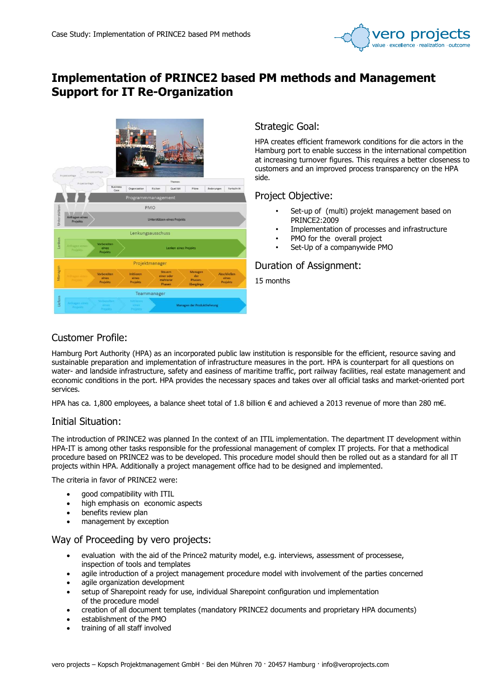

# Implementation of PRINCE2 based PM methods and Management Support for IT Re-Organization



### Strategic Goal:

HPA creates efficient framework conditions for die actors in the Hamburg port to enable success in the international competition at increasing turnover figures. This requires a better closeness to customers and an improved process transparency on the HPA side.

### Project Objective:

- Set-up of (multi) projekt management based on PRINCE2:2009
- Implementation of processes and infrastructure
- PMO for the overall project
- Set-Up of a companywide PMO

### Duration of Assignment:

15 months

## Customer Profile:

Hamburg Port Authority (HPA) as an incorporated public law institution is responsible for the efficient, resource saving and sustainable preparation and implementation of infrastructure measures in the port. HPA is counterpart for all questions on water- and landside infrastructure, safety and easiness of maritime traffic, port railway facilities, real estate management and economic conditions in the port. HPA provides the necessary spaces and takes over all official tasks and market-oriented port services.

HPA has ca. 1,800 employees, a balance sheet total of 1.8 billion € and achieved a 2013 revenue of more than 280 m€.

#### Initial Situation:

The introduction of PRINCE2 was planned In the context of an ITIL implementation. The department IT development within HPA-IT is among other tasks responsible for the professional management of complex IT projects. For that a methodical procedure based on PRINCE2 was to be developed. This procedure model should then be rolled out as a standard for all IT projects within HPA. Additionally a project management office had to be designed and implemented.

The criteria in favor of PRINCE2 were:

- good compatibility with ITIL
- high emphasis on economic aspects
- benefits review plan
- management by exception

### Way of Proceeding by vero projects:

- evaluation with the aid of the Prince2 maturity model, e.g. interviews, assessment of processese, inspection of tools and templates
- agile introduction of a project management procedure model with involvement of the parties concerned
- agile organization development
- setup of Sharepoint ready for use, individual Sharepoint configuration und implementation of the procedure model
- creation of all document templates (mandatory PRINCE2 documents and proprietary HPA documents)
- establishment of the PMO
- training of all staff involved